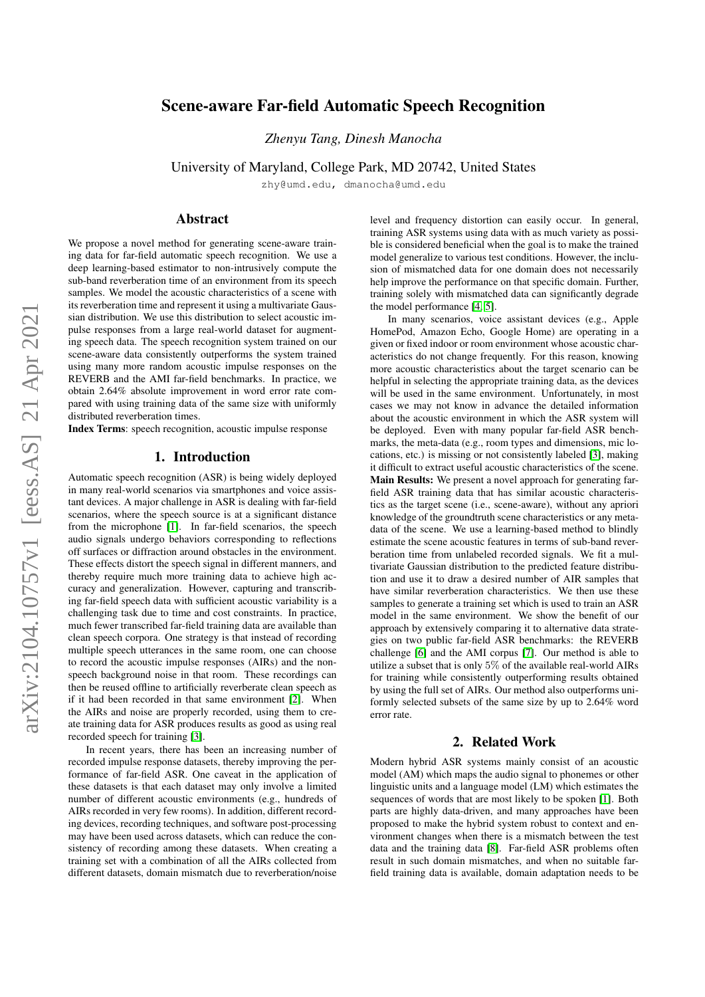# arXiv:2104.10757v1 [eess.AS] 21 Apr 2021 arXiv:2104.10757v1 [eess.AS] 21 Apr 2021

# Scene-aware Far-field Automatic Speech Recognition

*Zhenyu Tang, Dinesh Manocha*

University of Maryland, College Park, MD 20742, United States

zhy@umd.edu, dmanocha@umd.edu

# Abstract

We propose a novel method for generating scene-aware training data for far-field automatic speech recognition. We use a deep learning-based estimator to non-intrusively compute the sub-band reverberation time of an environment from its speech samples. We model the acoustic characteristics of a scene with its reverberation time and represent it using a multivariate Gaussian distribution. We use this distribution to select acoustic impulse responses from a large real-world dataset for augmenting speech data. The speech recognition system trained on our scene-aware data consistently outperforms the system trained using many more random acoustic impulse responses on the REVERB and the AMI far-field benchmarks. In practice, we obtain 2.64% absolute improvement in word error rate compared with using training data of the same size with uniformly distributed reverberation times.

Index Terms: speech recognition, acoustic impulse response

### 1. Introduction

Automatic speech recognition (ASR) is being widely deployed in many real-world scenarios via smartphones and voice assistant devices. A major challenge in ASR is dealing with far-field scenarios, where the speech source is at a significant distance from the microphone [\[1\]](#page-4-0). In far-field scenarios, the speech audio signals undergo behaviors corresponding to reflections off surfaces or diffraction around obstacles in the environment. These effects distort the speech signal in different manners, and thereby require much more training data to achieve high accuracy and generalization. However, capturing and transcribing far-field speech data with sufficient acoustic variability is a challenging task due to time and cost constraints. In practice, much fewer transcribed far-field training data are available than clean speech corpora. One strategy is that instead of recording multiple speech utterances in the same room, one can choose to record the acoustic impulse responses (AIRs) and the nonspeech background noise in that room. These recordings can then be reused offline to artificially reverberate clean speech as if it had been recorded in that same environment [\[2\]](#page-4-1). When the AIRs and noise are properly recorded, using them to create training data for ASR produces results as good as using real recorded speech for training [\[3\]](#page-4-2).

In recent years, there has been an increasing number of recorded impulse response datasets, thereby improving the performance of far-field ASR. One caveat in the application of these datasets is that each dataset may only involve a limited number of different acoustic environments (e.g., hundreds of AIRs recorded in very few rooms). In addition, different recording devices, recording techniques, and software post-processing may have been used across datasets, which can reduce the consistency of recording among these datasets. When creating a training set with a combination of all the AIRs collected from different datasets, domain mismatch due to reverberation/noise

level and frequency distortion can easily occur. In general, training ASR systems using data with as much variety as possible is considered beneficial when the goal is to make the trained model generalize to various test conditions. However, the inclusion of mismatched data for one domain does not necessarily help improve the performance on that specific domain. Further, training solely with mismatched data can significantly degrade the model performance [\[4,](#page-4-3) [5\]](#page-4-4).

In many scenarios, voice assistant devices (e.g., Apple HomePod, Amazon Echo, Google Home) are operating in a given or fixed indoor or room environment whose acoustic characteristics do not change frequently. For this reason, knowing more acoustic characteristics about the target scenario can be helpful in selecting the appropriate training data, as the devices will be used in the same environment. Unfortunately, in most cases we may not know in advance the detailed information about the acoustic environment in which the ASR system will be deployed. Even with many popular far-field ASR benchmarks, the meta-data (e.g., room types and dimensions, mic locations, etc.) is missing or not consistently labeled [\[3\]](#page-4-2), making it difficult to extract useful acoustic characteristics of the scene. Main Results: We present a novel approach for generating farfield ASR training data that has similar acoustic characteristics as the target scene (i.e., scene-aware), without any apriori knowledge of the groundtruth scene characteristics or any metadata of the scene. We use a learning-based method to blindly estimate the scene acoustic features in terms of sub-band reverberation time from unlabeled recorded signals. We fit a multivariate Gaussian distribution to the predicted feature distribution and use it to draw a desired number of AIR samples that have similar reverberation characteristics. We then use these samples to generate a training set which is used to train an ASR model in the same environment. We show the benefit of our approach by extensively comparing it to alternative data strategies on two public far-field ASR benchmarks: the REVERB challenge [\[6\]](#page-4-5) and the AMI corpus [\[7\]](#page-4-6). Our method is able to utilize a subset that is only 5% of the available real-world AIRs for training while consistently outperforming results obtained by using the full set of AIRs. Our method also outperforms uniformly selected subsets of the same size by up to 2.64% word error rate.

### 2. Related Work

Modern hybrid ASR systems mainly consist of an acoustic model (AM) which maps the audio signal to phonemes or other linguistic units and a language model (LM) which estimates the sequences of words that are most likely to be spoken [\[1\]](#page-4-0). Both parts are highly data-driven, and many approaches have been proposed to make the hybrid system robust to context and environment changes when there is a mismatch between the test data and the training data [\[8\]](#page-4-7). Far-field ASR problems often result in such domain mismatches, and when no suitable farfield training data is available, domain adaptation needs to be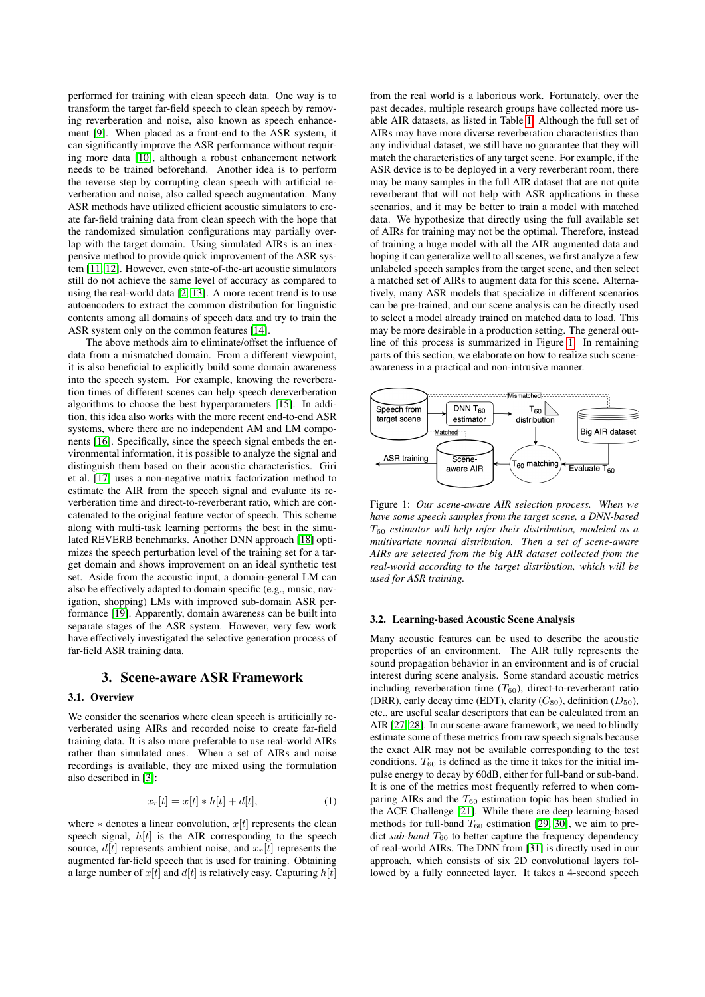performed for training with clean speech data. One way is to transform the target far-field speech to clean speech by removing reverberation and noise, also known as speech enhancement [\[9\]](#page-4-8). When placed as a front-end to the ASR system, it can significantly improve the ASR performance without requiring more data [\[10\]](#page-4-9), although a robust enhancement network needs to be trained beforehand. Another idea is to perform the reverse step by corrupting clean speech with artificial reverberation and noise, also called speech augmentation. Many ASR methods have utilized efficient acoustic simulators to create far-field training data from clean speech with the hope that the randomized simulation configurations may partially overlap with the target domain. Using simulated AIRs is an inexpensive method to provide quick improvement of the ASR system [\[11,](#page-4-10) [12\]](#page-4-11). However, even state-of-the-art acoustic simulators still do not achieve the same level of accuracy as compared to using the real-world data [\[2,](#page-4-1) [13\]](#page-4-12). A more recent trend is to use autoencoders to extract the common distribution for linguistic contents among all domains of speech data and try to train the ASR system only on the common features [\[14\]](#page-4-13).

The above methods aim to eliminate/offset the influence of data from a mismatched domain. From a different viewpoint, it is also beneficial to explicitly build some domain awareness into the speech system. For example, knowing the reverberation times of different scenes can help speech dereverberation algorithms to choose the best hyperparameters [\[15\]](#page-4-14). In addition, this idea also works with the more recent end-to-end ASR systems, where there are no independent AM and LM components [\[16\]](#page-4-15). Specifically, since the speech signal embeds the environmental information, it is possible to analyze the signal and distinguish them based on their acoustic characteristics. Giri et al. [\[17\]](#page-4-16) uses a non-negative matrix factorization method to estimate the AIR from the speech signal and evaluate its reverberation time and direct-to-reverberant ratio, which are concatenated to the original feature vector of speech. This scheme along with multi-task learning performs the best in the simulated REVERB benchmarks. Another DNN approach [\[18\]](#page-4-17) optimizes the speech perturbation level of the training set for a target domain and shows improvement on an ideal synthetic test set. Aside from the acoustic input, a domain-general LM can also be effectively adapted to domain specific (e.g., music, navigation, shopping) LMs with improved sub-domain ASR performance [\[19\]](#page-4-18). Apparently, domain awareness can be built into separate stages of the ASR system. However, very few work have effectively investigated the selective generation process of far-field ASR training data.

### 3. Scene-aware ASR Framework

### 3.1. Overview

We consider the scenarios where clean speech is artificially reverberated using AIRs and recorded noise to create far-field training data. It is also more preferable to use real-world AIRs rather than simulated ones. When a set of AIRs and noise recordings is available, they are mixed using the formulation also described in [\[3\]](#page-4-2):

<span id="page-1-2"></span>
$$
x_r[t] = x[t] * h[t] + d[t],
$$
 (1)

where  $*$  denotes a linear convolution,  $x[t]$  represents the clean speech signal,  $h[t]$  is the AIR corresponding to the speech source,  $d[t]$  represents ambient noise, and  $x_r[t]$  represents the augmented far-field speech that is used for training. Obtaining a large number of  $x[t]$  and  $d[t]$  is relatively easy. Capturing  $h[t]$  from the real world is a laborious work. Fortunately, over the past decades, multiple research groups have collected more usable AIR datasets, as listed in Table [1.](#page-2-0) Although the full set of AIRs may have more diverse reverberation characteristics than any individual dataset, we still have no guarantee that they will match the characteristics of any target scene. For example, if the ASR device is to be deployed in a very reverberant room, there may be many samples in the full AIR dataset that are not quite reverberant that will not help with ASR applications in these scenarios, and it may be better to train a model with matched data. We hypothesize that directly using the full available set of AIRs for training may not be the optimal. Therefore, instead of training a huge model with all the AIR augmented data and hoping it can generalize well to all scenes, we first analyze a few unlabeled speech samples from the target scene, and then select a matched set of AIRs to augment data for this scene. Alternatively, many ASR models that specialize in different scenarios can be pre-trained, and our scene analysis can be directly used to select a model already trained on matched data to load. This may be more desirable in a production setting. The general outline of this process is summarized in Figure [1.](#page-1-0) In remaining parts of this section, we elaborate on how to realize such sceneawareness in a practical and non-intrusive manner.

<span id="page-1-0"></span>

Figure 1: *Our scene-aware AIR selection process. When we have some speech samples from the target scene, a DNN-based* T<sup>60</sup> *estimator will help infer their distribution, modeled as a multivariate normal distribution. Then a set of scene-aware AIRs are selected from the big AIR dataset collected from the real-world according to the target distribution, which will be used for ASR training.*

### <span id="page-1-1"></span>3.2. Learning-based Acoustic Scene Analysis

Many acoustic features can be used to describe the acoustic properties of an environment. The AIR fully represents the sound propagation behavior in an environment and is of crucial interest during scene analysis. Some standard acoustic metrics including reverberation time  $(T_{60})$ , direct-to-reverberant ratio (DRR), early decay time (EDT), clarity  $(C_{80})$ , definition  $(D_{50})$ , etc., are useful scalar descriptors that can be calculated from an AIR [\[27,](#page-4-19) [28\]](#page-4-20). In our scene-aware framework, we need to blindly estimate some of these metrics from raw speech signals because the exact AIR may not be available corresponding to the test conditions.  $T_{60}$  is defined as the time it takes for the initial impulse energy to decay by 60dB, either for full-band or sub-band. It is one of the metrics most frequently referred to when comparing AIRs and the  $T_{60}$  estimation topic has been studied in the ACE Challenge [\[21\]](#page-4-21). While there are deep learning-based methods for full-band  $T_{60}$  estimation [\[29,](#page-4-22) [30\]](#page-4-23), we aim to predict *sub-band*  $T_{60}$  to better capture the frequency dependency of real-world AIRs. The DNN from [\[31\]](#page-4-24) is directly used in our approach, which consists of six 2D convolutional layers followed by a fully connected layer. It takes a 4-second speech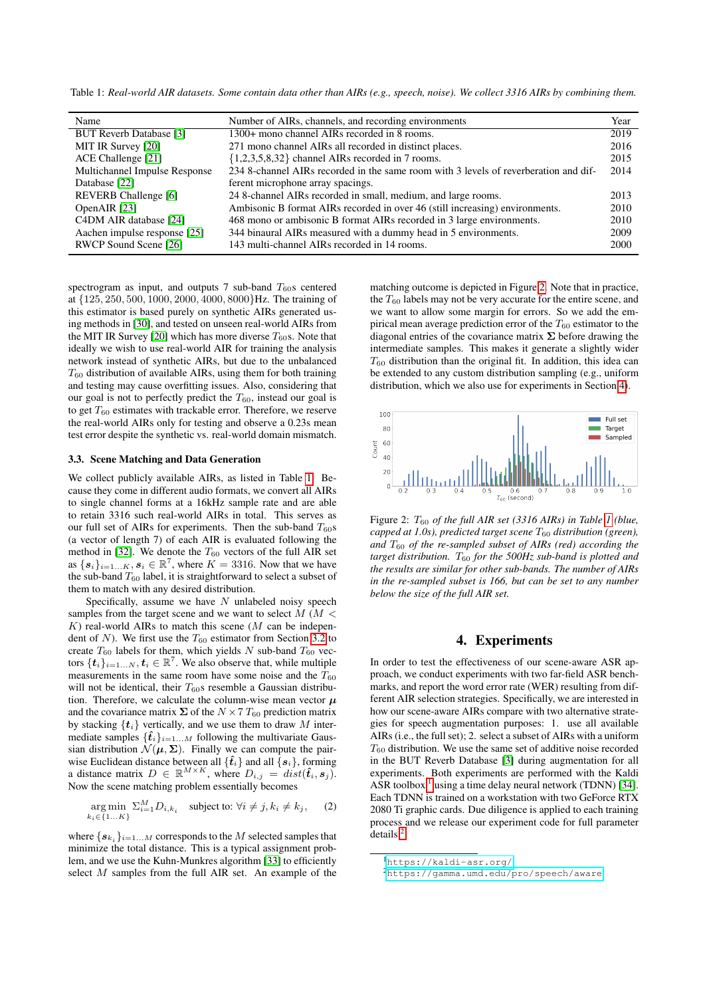<span id="page-2-0"></span>Table 1: *Real-world AIR datasets. Some contain data other than AIRs (e.g., speech, noise). We collect 3316 AIRs by combining them.*

| Name                           | Number of AIRs, channels, and recording environments                                 | Year |
|--------------------------------|--------------------------------------------------------------------------------------|------|
| <b>BUT Reverb Database [3]</b> | 1300+ mono channel AIRs recorded in 8 rooms.                                         | 2019 |
| MIT IR Survey [20]             | 271 mono channel AIRs all recorded in distinct places.                               | 2016 |
| ACE Challenge [21]             | $\{1,2,3,5,8,32\}$ channel AIRs recorded in 7 rooms.                                 | 2015 |
| Multichannel Impulse Response  | 234 8-channel AIRs recorded in the same room with 3 levels of reverberation and dif- | 2014 |
| Database [22]                  | ferent microphone array spacings.                                                    |      |
| REVERB Challenge [6]           | 24 8-channel AIRs recorded in small, medium, and large rooms.                        | 2013 |
| OpenAIR [23]                   | Ambisonic B format AIRs recorded in over 46 (still increasing) environments.         | 2010 |
| C4DM AIR database [24]         | 468 mono or ambisonic B format AIRs recorded in 3 large environments.                | 2010 |
| Aachen impulse response [25]   | 344 binaural AIRs measured with a dummy head in 5 environments.                      | 2009 |
| RWCP Sound Scene [26]          | 143 multi-channel AIRs recorded in 14 rooms.                                         | 2000 |

spectrogram as input, and outputs 7 sub-band  $T_{60}$ s centered at {125, 250, 500, 1000, 2000, 4000, 8000}Hz. The training of this estimator is based purely on synthetic AIRs generated using methods in [\[30\]](#page-4-23), and tested on unseen real-world AIRs from the MIT IR Survey [\[20\]](#page-4-25) which has more diverse  $T_{60}$ s. Note that ideally we wish to use real-world AIR for training the analysis network instead of synthetic AIRs, but due to the unbalanced  $T_{60}$  distribution of available AIRs, using them for both training and testing may cause overfitting issues. Also, considering that our goal is not to perfectly predict the  $T_{60}$ , instead our goal is to get  $T_{60}$  estimates with trackable error. Therefore, we reserve the real-world AIRs only for testing and observe a 0.23s mean test error despite the synthetic vs. real-world domain mismatch.

### <span id="page-2-5"></span>3.3. Scene Matching and Data Generation

We collect publicly available AIRs, as listed in Table [1.](#page-2-0) Because they come in different audio formats, we convert all AIRs to single channel forms at a 16kHz sample rate and are able to retain 3316 such real-world AIRs in total. This serves as our full set of AIRs for experiments. Then the sub-band  $T_{60}$ s (a vector of length 7) of each AIR is evaluated following the method in [\[32\]](#page-4-31). We denote the  $T_{60}$  vectors of the full AIR set as  $\{s_i\}_{i=1...K}, s_i \in \mathbb{R}^7$ , where  $K = 3316$ . Now that we have the sub-band  $T_{60}$  label, it is straightforward to select a subset of them to match with any desired distribution.

Specifically, assume we have  $N$  unlabeled noisy speech samples from the target scene and we want to select  $M$  ( $M$  <  $K$ ) real-world AIRs to match this scene ( $M$  can be independent of N). We first use the  $T_{60}$  estimator from Section [3.2](#page-1-1) to create  $T_{60}$  labels for them, which yields N sub-band  $T_{60}$  vectors  $\{\boldsymbol{t}_i\}_{i=1...N}, \boldsymbol{t}_i \in \mathbb{R}^7$ . We also observe that, while multiple measurements in the same room have some noise and the  $T_{60}$ will not be identical, their  $T_{60}$ s resemble a Gaussian distribution. Therefore, we calculate the column-wise mean vector  $\mu$ and the covariance matrix  $\Sigma$  of the  $N \times 7$  T<sub>60</sub> prediction matrix by stacking  $\{t_i\}$  vertically, and we use them to draw M intermediate samples  $\{\hat{\mathbf{t}}_i\}_{i=1...M}$  following the multivariate Gaussian distribution  $\mathcal{N}(\mu, \Sigma)$ . Finally we can compute the pairwise Euclidean distance between all  $\{\hat{\mathbf{t}}_i\}$  and all  $\{s_i\}$ , forming a distance matrix  $D \in \mathbb{R}^{M \times K}$ , where  $D_{i,j} = dist(\hat{t}_i, s_j)$ . Now the scene matching problem essentially becomes

$$
\underset{k_i \in \{1...K\}}{\arg \min} \ \Sigma_{i=1}^M D_{i,k_i} \quad \text{subject to: } \forall i \neq j, k_i \neq k_j, \qquad (2)
$$

where  $\{\boldsymbol{s}_{k_i}\}_{i=1...M}$  corresponds to the  $M$  selected samples that minimize the total distance. This is a typical assignment problem, and we use the Kuhn-Munkres algorithm [\[33\]](#page-4-32) to efficiently select M samples from the full AIR set. An example of the

matching outcome is depicted in Figure [2.](#page-2-1) Note that in practice, the  $T_{60}$  labels may not be very accurate for the entire scene, and we want to allow some margin for errors. So we add the empirical mean average prediction error of the  $T_{60}$  estimator to the diagonal entries of the covariance matrix  $\Sigma$  before drawing the intermediate samples. This makes it generate a slightly wider  $T_{60}$  distribution than the original fit. In addition, this idea can be extended to any custom distribution sampling (e.g., uniform distribution, which we also use for experiments in Section [4\)](#page-2-2).

<span id="page-2-1"></span>

Figure 2: T<sup>60</sup> *of the full AIR set (3316 AIRs) in Table [1](#page-2-0) (blue, capped at 1.0s), predicted target scene*  $T_{60}$  *distribution (green), and*  $T_{60}$  *of the re-sampled subset of AIRs (red) according the target distribution.*  $T_{60}$  *for the 500Hz sub-band is plotted and the results are similar for other sub-bands. The number of AIRs in the re-sampled subset is 166, but can be set to any number below the size of the full AIR set.*

# 4. Experiments

<span id="page-2-2"></span>In order to test the effectiveness of our scene-aware ASR approach, we conduct experiments with two far-field ASR benchmarks, and report the word error rate (WER) resulting from different AIR selection strategies. Specifically, we are interested in how our scene-aware AIRs compare with two alternative strategies for speech augmentation purposes: 1. use all available AIRs (i.e., the full set); 2. select a subset of AIRs with a uniform  $T_{60}$  distribution. We use the same set of additive noise recorded in the BUT Reverb Database [\[3\]](#page-4-2) during augmentation for all experiments. Both experiments are performed with the Kaldi ASR toolbox  $<sup>1</sup>$  $<sup>1</sup>$  $<sup>1</sup>$  using a time delay neural network (TDNN) [\[34\]](#page-4-33).</sup> Each TDNN is trained on a workstation with two GeForce RTX 2080 Ti graphic cards. Due diligence is applied to each training process and we release our experiment code for full parameter details  $2$ .

<span id="page-2-3"></span><sup>1</sup><https://kaldi-asr.org/>

<span id="page-2-4"></span><sup>2</sup><https://gamma.umd.edu/pro/speech/aware>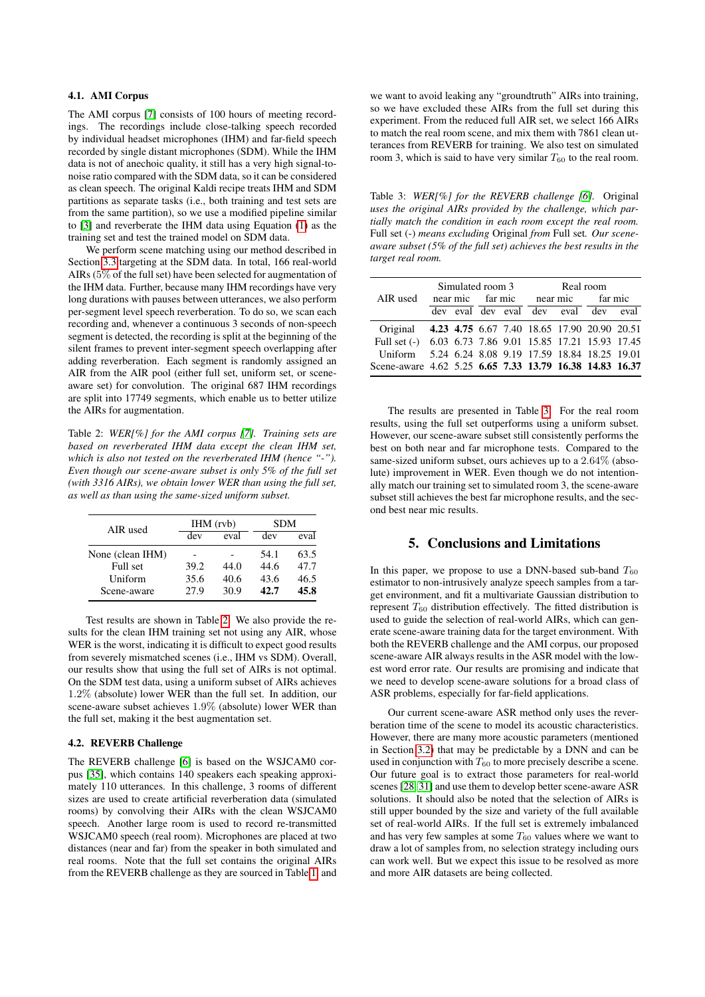# 4.1. AMI Corpus

The AMI corpus [\[7\]](#page-4-6) consists of 100 hours of meeting recordings. The recordings include close-talking speech recorded by individual headset microphones (IHM) and far-field speech recorded by single distant microphones (SDM). While the IHM data is not of anechoic quality, it still has a very high signal-tonoise ratio compared with the SDM data, so it can be considered as clean speech. The original Kaldi recipe treats IHM and SDM partitions as separate tasks (i.e., both training and test sets are from the same partition), so we use a modified pipeline similar to [\[3\]](#page-4-2) and reverberate the IHM data using Equation [\(1\)](#page-1-2) as the training set and test the trained model on SDM data.

We perform scene matching using our method described in Section [3.3](#page-2-5) targeting at the SDM data. In total, 166 real-world AIRs (5% of the full set) have been selected for augmentation of the IHM data. Further, because many IHM recordings have very long durations with pauses between utterances, we also perform per-segment level speech reverberation. To do so, we scan each recording and, whenever a continuous 3 seconds of non-speech segment is detected, the recording is split at the beginning of the silent frames to prevent inter-segment speech overlapping after adding reverberation. Each segment is randomly assigned an AIR from the AIR pool (either full set, uniform set, or sceneaware set) for convolution. The original 687 IHM recordings are split into 17749 segments, which enable us to better utilize the AIRs for augmentation.

<span id="page-3-0"></span>Table 2: *WER[%] for the AMI corpus [\[7\]](#page-4-6). Training sets are based on reverberated IHM data except the clean IHM set, which is also not tested on the reverberated IHM (hence "-"). Even though our scene-aware subset is only 5% of the full set (with 3316 AIRs), we obtain lower WER than using the full set, as well as than using the same-sized uniform subset.*

| AIR used         |      | $IHM$ (rvb) | <b>SDM</b> |      |
|------------------|------|-------------|------------|------|
|                  | dev  | eval        | dev        | eval |
| None (clean IHM) |      |             | 54.1       | 63.5 |
| Full set         | 39.2 | 44.0        | 44.6       | 47.7 |
| Uniform          | 35.6 | 40.6        | 43.6       | 46.5 |
| Scene-aware      | 27.9 | 30.9        | 42.7       | 45.8 |

Test results are shown in Table [2.](#page-3-0) We also provide the results for the clean IHM training set not using any AIR, whose WER is the worst, indicating it is difficult to expect good results from severely mismatched scenes (i.e., IHM vs SDM). Overall, our results show that using the full set of AIRs is not optimal. On the SDM test data, using a uniform subset of AIRs achieves 1.2% (absolute) lower WER than the full set. In addition, our scene-aware subset achieves 1.9% (absolute) lower WER than the full set, making it the best augmentation set.

### 4.2. REVERB Challenge

The REVERB challenge [\[6\]](#page-4-5) is based on the WSJCAM0 corpus [\[35\]](#page-4-34), which contains 140 speakers each speaking approximately 110 utterances. In this challenge, 3 rooms of different sizes are used to create artificial reverberation data (simulated rooms) by convolving their AIRs with the clean WSJCAM0 speech. Another large room is used to record re-transmitted WSJCAM0 speech (real room). Microphones are placed at two distances (near and far) from the speaker in both simulated and real rooms. Note that the full set contains the original AIRs from the REVERB challenge as they are sourced in Table [1,](#page-2-0) and

we want to avoid leaking any "groundtruth" AIRs into training, so we have excluded these AIRs from the full set during this experiment. From the reduced full AIR set, we select 166 AIRs to match the real room scene, and mix them with 7861 clean utterances from REVERB for training. We also test on simulated room 3, which is said to have very similar  $T_{60}$  to the real room.

<span id="page-3-1"></span>Table 3: *WER[%] for the REVERB challenge [\[6\]](#page-4-5).* Original *uses the original AIRs provided by the challenge, which partially match the condition in each room except the real room.* Full set (-) *means excluding* Original *from* Full set*. Our sceneaware subset (5% of the full set) achieves the best results in the target real room.*

|                                                          | Simulated room 3 |  |  | Real room |                           |                                             |         |  |
|----------------------------------------------------------|------------------|--|--|-----------|---------------------------|---------------------------------------------|---------|--|
| AIR used                                                 |                  |  |  |           | near mic far mic near mic |                                             | far mic |  |
|                                                          |                  |  |  |           |                           | dev eval dev eval dev eval dev eval         |         |  |
| Original 4.23 4.75 6.67 7.40 18.65 17.90 20.90 20.51     |                  |  |  |           |                           |                                             |         |  |
| Full set (-) 6.03 6.73 7.86 9.01 15.85 17.21 15.93 17.45 |                  |  |  |           |                           |                                             |         |  |
| Uniform                                                  |                  |  |  |           |                           | 5.24 6.24 8.08 9.19 17.59 18.84 18.25 19.01 |         |  |
| Scene-aware 4.62 5.25 6.65 7.33 13.79 16.38 14.83 16.37  |                  |  |  |           |                           |                                             |         |  |

The results are presented in Table [3.](#page-3-1) For the real room results, using the full set outperforms using a uniform subset. However, our scene-aware subset still consistently performs the best on both near and far microphone tests. Compared to the same-sized uniform subset, ours achieves up to a 2.64% (absolute) improvement in WER. Even though we do not intentionally match our training set to simulated room 3, the scene-aware subset still achieves the best far microphone results, and the second best near mic results.

# 5. Conclusions and Limitations

In this paper, we propose to use a DNN-based sub-band  $T_{60}$ estimator to non-intrusively analyze speech samples from a target environment, and fit a multivariate Gaussian distribution to represent  $T_{60}$  distribution effectively. The fitted distribution is used to guide the selection of real-world AIRs, which can generate scene-aware training data for the target environment. With both the REVERB challenge and the AMI corpus, our proposed scene-aware AIR always results in the ASR model with the lowest word error rate. Our results are promising and indicate that we need to develop scene-aware solutions for a broad class of ASR problems, especially for far-field applications.

Our current scene-aware ASR method only uses the reverberation time of the scene to model its acoustic characteristics. However, there are many more acoustic parameters (mentioned in Section [3.2\)](#page-1-1) that may be predictable by a DNN and can be used in conjunction with  $T_{60}$  to more precisely describe a scene. Our future goal is to extract those parameters for real-world scenes [\[28,](#page-4-20) [31\]](#page-4-24) and use them to develop better scene-aware ASR solutions. It should also be noted that the selection of AIRs is still upper bounded by the size and variety of the full available set of real-world AIRs. If the full set is extremely imbalanced and has very few samples at some  $T_{60}$  values where we want to draw a lot of samples from, no selection strategy including ours can work well. But we expect this issue to be resolved as more and more AIR datasets are being collected.